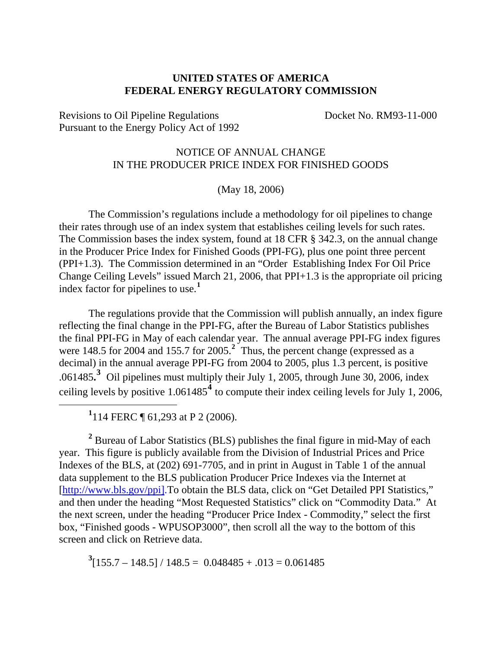## **UNITED STATES OF AMERICA FEDERAL ENERGY REGULATORY COMMISSION**

Revisions to Oil Pipeline Regulations Docket No. RM93-11-000 Pursuant to the Energy Policy Act of 1992

## NOTICE OF ANNUAL CHANGE IN THE PRODUCER PRICE INDEX FOR FINISHED GOODS

(May 18, 2006)

The Commission's regulations include a methodology for oil pipelines to change their rates through use of an index system that establishes ceiling levels for such rates. The Commission bases the index system, found at 18 CFR § 342.3, on the annual change in the Producer Price Index for Finished Goods (PPI-FG), plus one point three percent (PPI+1.3). The Commission determined in an "Order Establishing Index For Oil Price Change Ceiling Levels" issued March 21, 2006, that PPI+1.3 is the appropriate oil pricing index factor for pipelines to use.**[1](#page-0-0)**

The regulations provide that the Commission will publish annually, an index figure reflecting the final change in the PPI-FG, after the Bureau of Labor Statistics publishes the final PPI-FG in May of each calendar year. The annual average PPI-FG index figures were 148.5 for [2](#page-0-1)004 and 155.7 for 2005.<sup>2</sup> Thus, the percent change (expressed as a decimal) in the annual average PPI-FG from 2004 to 2005, plus 1.3 percent, is positive .061485**. [3](#page-0-2)** Oil pipelines must multiply their July 1, 2005, through June 30, 2006, index ceiling levels by positive 1.061485**[4](#page-0-3)** to compute their index ceiling levels for July 1, 2006,

**1** 114 FERC ¶ 61,293 at P 2 (2006).

<span id="page-0-0"></span> $\overline{a}$ 

<span id="page-0-1"></span><sup>2</sup> Bureau of Labor Statistics (BLS) publishes the final figure in mid-May of each year. This figure is publicly available from the Division of Industrial Prices and Price Indexes of the BLS, at (202) 691-7705, and in print in August in Table 1 of the annual data supplement to the BLS publication Producer Price Indexes via the Internet at [http://www.bls.gov/ppi].To obtain the BLS data, click on "Get Detailed PPI Statistics," and then under the heading "Most Requested Statistics" click on "Commodity Data." At the next screen, under the heading "Producer Price Index - Commodity," select the first box, "Finished goods - WPUSOP3000", then scroll all the way to the bottom of this screen and click on Retrieve data.

<span id="page-0-3"></span><span id="page-0-2"></span> $3[155.7 - 148.5] / 148.5 = 0.048485 + .013 = 0.061485$